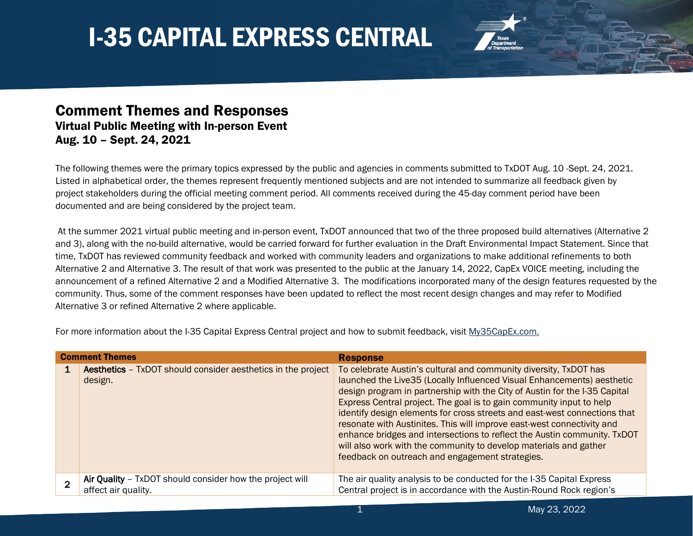

#### Comment Themes and Responses Virtual Public Meeting with In-person Event Aug. 10 – Sept. 24, 2021

The following themes were the primary topics expressed by the public and agencies in comments submitted to TxDOT Aug. 10 -Sept. 24, 2021. Listed in alphabetical order, the themes represent frequently mentioned subjects and are not intended to summarize all feedback given by project stakeholders during the official meeting comment period. All comments received during the 45-day comment period have been documented and are being considered by the project team.

At the summer 2021 virtual public meeting and in-person event, TxDOT announced that two of the three proposed build alternatives (Alternative 2 and 3), along with the no-build alternative, would be carried forward for further evaluation in the Draft Environmental Impact Statement. Since that time, TxDOT has reviewed community feedback and worked with community leaders and organizations to make additional refinements to both Alternative 2 and Alternative 3. The result of that work was presented to the public at the January 14, 2022, CapEx VOICE meeting, including the announcement of a refined Alternative 2 and a Modified Alternative 3. The modifications incorporated many of the design features requested by the community. Thus, some of the comment responses have been updated to reflect the most recent design changes and may refer to Modified Alternative 3 or refined Alternative 2 where applicable.

For more information about the I-35 Capital Express Central project and how to submit feedback, visit [My35CapEx.com.](https://my35capex.com/projects/i-35-capital-express-central/)

| <b>Comment Themes</b> |                                                                                 | <b>Response</b>                                                                                                                                                                                                                                                                                                                                                                                                                                                                                                                                                                                                                                              |
|-----------------------|---------------------------------------------------------------------------------|--------------------------------------------------------------------------------------------------------------------------------------------------------------------------------------------------------------------------------------------------------------------------------------------------------------------------------------------------------------------------------------------------------------------------------------------------------------------------------------------------------------------------------------------------------------------------------------------------------------------------------------------------------------|
|                       | <b>Aesthetics</b> - TxDOT should consider aesthetics in the project<br>design.  | To celebrate Austin's cultural and community diversity, TxDOT has<br>launched the Live35 (Locally Influenced Visual Enhancements) aesthetic<br>design program in partnership with the City of Austin for the I-35 Capital<br>Express Central project. The goal is to gain community input to help<br>identify design elements for cross streets and east-west connections that<br>resonate with Austinites. This will improve east-west connectivity and<br>enhance bridges and intersections to reflect the Austin community. TxDOT<br>will also work with the community to develop materials and gather<br>feedback on outreach and engagement strategies. |
|                       | Air Quality - TxDOT should consider how the project will<br>affect air quality. | The air quality analysis to be conducted for the I-35 Capital Express<br>Central project is in accordance with the Austin-Round Rock region's                                                                                                                                                                                                                                                                                                                                                                                                                                                                                                                |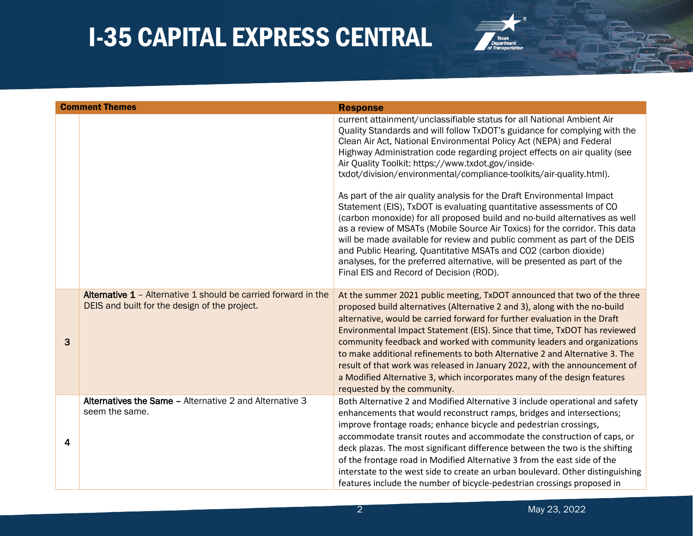

|   | <b>Comment Themes</b>                                                                                           | <b>Response</b>                                                                                                                                                                                                                                                                                                                                                                                                                                                                                                                                                                                                                                                                                                                                                                                                                                                                                                                                                                                                          |
|---|-----------------------------------------------------------------------------------------------------------------|--------------------------------------------------------------------------------------------------------------------------------------------------------------------------------------------------------------------------------------------------------------------------------------------------------------------------------------------------------------------------------------------------------------------------------------------------------------------------------------------------------------------------------------------------------------------------------------------------------------------------------------------------------------------------------------------------------------------------------------------------------------------------------------------------------------------------------------------------------------------------------------------------------------------------------------------------------------------------------------------------------------------------|
|   |                                                                                                                 | current attainment/unclassifiable status for all National Ambient Air<br>Quality Standards and will follow TxDOT's guidance for complying with the<br>Clean Air Act, National Environmental Policy Act (NEPA) and Federal<br>Highway Administration code regarding project effects on air quality (see<br>Air Quality Toolkit: https://www.txdot.gov/inside-<br>txdot/division/environmental/compliance-toolkits/air-quality.html).<br>As part of the air quality analysis for the Draft Environmental Impact<br>Statement (EIS), TxDOT is evaluating quantitative assessments of CO<br>(carbon monoxide) for all proposed build and no-build alternatives as well<br>as a review of MSATs (Mobile Source Air Toxics) for the corridor. This data<br>will be made available for review and public comment as part of the DEIS<br>and Public Hearing. Quantitative MSATs and CO2 (carbon dioxide)<br>analyses, for the preferred alternative, will be presented as part of the<br>Final EIS and Record of Decision (ROD). |
| 3 | Alternative 1 - Alternative 1 should be carried forward in the<br>DEIS and built for the design of the project. | At the summer 2021 public meeting, TxDOT announced that two of the three<br>proposed build alternatives (Alternative 2 and 3), along with the no-build<br>alternative, would be carried forward for further evaluation in the Draft<br>Environmental Impact Statement (EIS). Since that time, TxDOT has reviewed<br>community feedback and worked with community leaders and organizations<br>to make additional refinements to both Alternative 2 and Alternative 3. The<br>result of that work was released in January 2022, with the announcement of<br>a Modified Alternative 3, which incorporates many of the design features<br>requested by the community.                                                                                                                                                                                                                                                                                                                                                       |
| 4 | Alternatives the Same - Alternative 2 and Alternative 3<br>seem the same.                                       | Both Alternative 2 and Modified Alternative 3 include operational and safety<br>enhancements that would reconstruct ramps, bridges and intersections;<br>improve frontage roads; enhance bicycle and pedestrian crossings,<br>accommodate transit routes and accommodate the construction of caps, or<br>deck plazas. The most significant difference between the two is the shifting<br>of the frontage road in Modified Alternative 3 from the east side of the<br>interstate to the west side to create an urban boulevard. Other distinguishing<br>features include the number of bicycle-pedestrian crossings proposed in                                                                                                                                                                                                                                                                                                                                                                                           |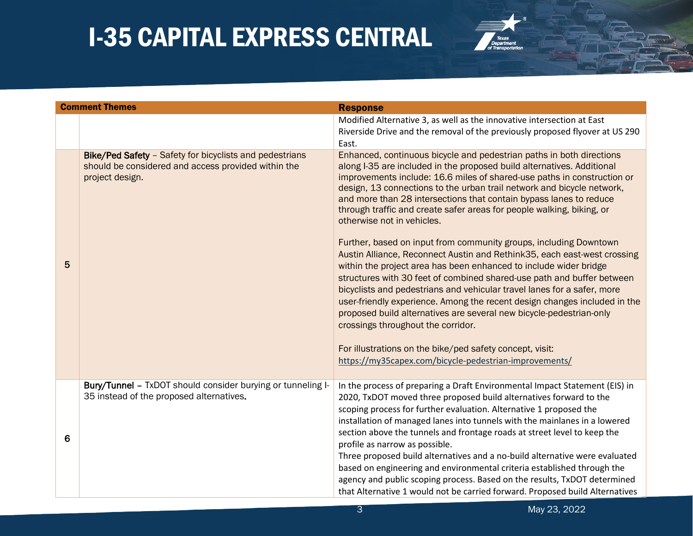

|   | <b>Comment Themes</b>                                                                                                             | <b>Response</b>                                                                                                                                                                                                                                                                                                                                                                                                                                                                                                                                                                                                                                                                                                                                                                                                                                                                                                                                                                                                                                                                                                   |
|---|-----------------------------------------------------------------------------------------------------------------------------------|-------------------------------------------------------------------------------------------------------------------------------------------------------------------------------------------------------------------------------------------------------------------------------------------------------------------------------------------------------------------------------------------------------------------------------------------------------------------------------------------------------------------------------------------------------------------------------------------------------------------------------------------------------------------------------------------------------------------------------------------------------------------------------------------------------------------------------------------------------------------------------------------------------------------------------------------------------------------------------------------------------------------------------------------------------------------------------------------------------------------|
|   |                                                                                                                                   | Modified Alternative 3, as well as the innovative intersection at East<br>Riverside Drive and the removal of the previously proposed flyover at US 290<br>East.                                                                                                                                                                                                                                                                                                                                                                                                                                                                                                                                                                                                                                                                                                                                                                                                                                                                                                                                                   |
| 5 | Bike/Ped Safety - Safety for bicyclists and pedestrians<br>should be considered and access provided within the<br>project design. | Enhanced, continuous bicycle and pedestrian paths in both directions<br>along I-35 are included in the proposed build alternatives. Additional<br>improvements include: 16.6 miles of shared-use paths in construction or<br>design, 13 connections to the urban trail network and bicycle network,<br>and more than 28 intersections that contain bypass lanes to reduce<br>through traffic and create safer areas for people walking, biking, or<br>otherwise not in vehicles.<br>Further, based on input from community groups, including Downtown<br>Austin Alliance, Reconnect Austin and Rethink35, each east-west crossing<br>within the project area has been enhanced to include wider bridge<br>structures with 30 feet of combined shared-use path and buffer between<br>bicyclists and pedestrians and vehicular travel lanes for a safer, more<br>user-friendly experience. Among the recent design changes included in the<br>proposed build alternatives are several new bicycle-pedestrian-only<br>crossings throughout the corridor.<br>For illustrations on the bike/ped safety concept, visit: |
|   |                                                                                                                                   | https://my35capex.com/bicycle-pedestrian-improvements/                                                                                                                                                                                                                                                                                                                                                                                                                                                                                                                                                                                                                                                                                                                                                                                                                                                                                                                                                                                                                                                            |
| 6 | Bury/Tunnel - TxDOT should consider burying or tunneling I-<br>35 instead of the proposed alternatives.                           | In the process of preparing a Draft Environmental Impact Statement (EIS) in<br>2020, TxDOT moved three proposed build alternatives forward to the<br>scoping process for further evaluation. Alternative 1 proposed the<br>installation of managed lanes into tunnels with the mainlanes in a lowered<br>section above the tunnels and frontage roads at street level to keep the<br>profile as narrow as possible.<br>Three proposed build alternatives and a no-build alternative were evaluated<br>based on engineering and environmental criteria established through the<br>agency and public scoping process. Based on the results, TxDOT determined<br>that Alternative 1 would not be carried forward. Proposed build Alternatives                                                                                                                                                                                                                                                                                                                                                                        |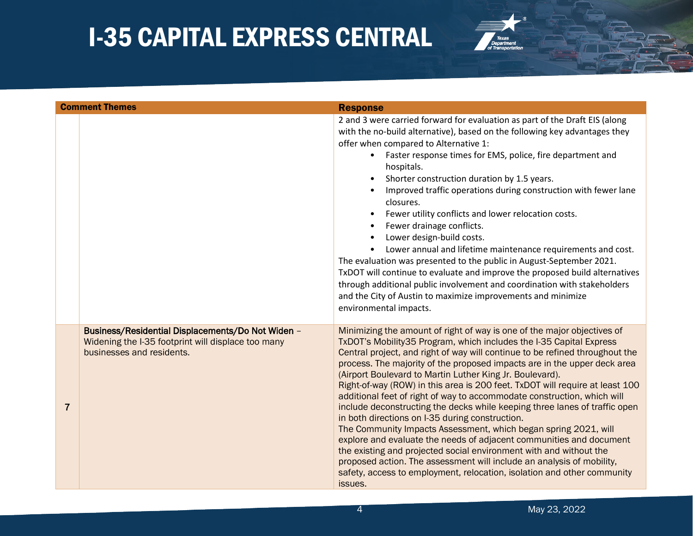

|                | <b>Comment Themes</b>                                                                                                                | <b>Response</b>                                                                                                                                                                                                                                                                                                                                                                                                                                                                                                                                                                                                                                                                                                                                                                                                                                                                                                                                                                                                                                    |
|----------------|--------------------------------------------------------------------------------------------------------------------------------------|----------------------------------------------------------------------------------------------------------------------------------------------------------------------------------------------------------------------------------------------------------------------------------------------------------------------------------------------------------------------------------------------------------------------------------------------------------------------------------------------------------------------------------------------------------------------------------------------------------------------------------------------------------------------------------------------------------------------------------------------------------------------------------------------------------------------------------------------------------------------------------------------------------------------------------------------------------------------------------------------------------------------------------------------------|
|                |                                                                                                                                      | 2 and 3 were carried forward for evaluation as part of the Draft EIS (along<br>with the no-build alternative), based on the following key advantages they<br>offer when compared to Alternative 1:<br>Faster response times for EMS, police, fire department and<br>hospitals.<br>Shorter construction duration by 1.5 years.<br>Improved traffic operations during construction with fewer lane<br>closures.<br>Fewer utility conflicts and lower relocation costs.<br>$\bullet$<br>Fewer drainage conflicts.<br>Lower design-build costs.<br>Lower annual and lifetime maintenance requirements and cost.<br>The evaluation was presented to the public in August-September 2021.<br>TxDOT will continue to evaluate and improve the proposed build alternatives<br>through additional public involvement and coordination with stakeholders<br>and the City of Austin to maximize improvements and minimize<br>environmental impacts.                                                                                                           |
| $\overline{7}$ | Business/Residential Displacements/Do Not Widen -<br>Widening the I-35 footprint will displace too many<br>businesses and residents. | Minimizing the amount of right of way is one of the major objectives of<br>TxDOT's Mobility 35 Program, which includes the I-35 Capital Express<br>Central project, and right of way will continue to be refined throughout the<br>process. The majority of the proposed impacts are in the upper deck area<br>(Airport Boulevard to Martin Luther King Jr. Boulevard).<br>Right-of-way (ROW) in this area is 200 feet. TxDOT will require at least 100<br>additional feet of right of way to accommodate construction, which will<br>include deconstructing the decks while keeping three lanes of traffic open<br>in both directions on I-35 during construction.<br>The Community Impacts Assessment, which began spring 2021, will<br>explore and evaluate the needs of adjacent communities and document<br>the existing and projected social environment with and without the<br>proposed action. The assessment will include an analysis of mobility,<br>safety, access to employment, relocation, isolation and other community<br>issues. |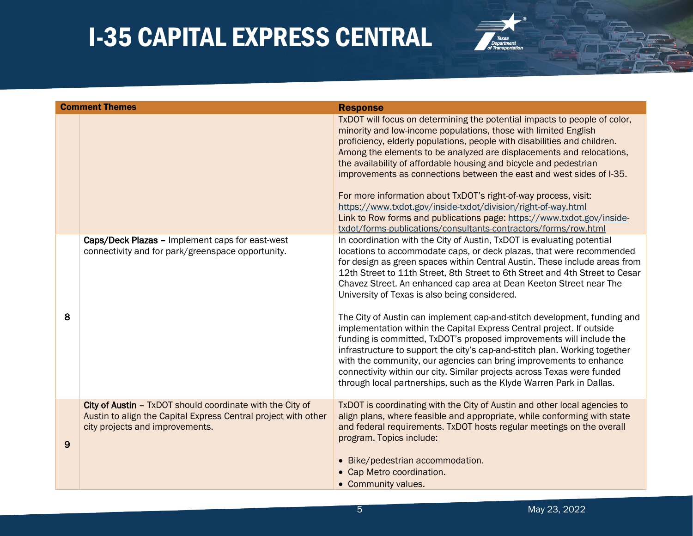

|   | <b>Comment Themes</b>                                                                                                                                          | <b>Response</b>                                                                                                                                                                                                                                                                                                                                                                                                                                                                                                                                                                                                                                                                                                                                                                                                                                                                                                                                                         |
|---|----------------------------------------------------------------------------------------------------------------------------------------------------------------|-------------------------------------------------------------------------------------------------------------------------------------------------------------------------------------------------------------------------------------------------------------------------------------------------------------------------------------------------------------------------------------------------------------------------------------------------------------------------------------------------------------------------------------------------------------------------------------------------------------------------------------------------------------------------------------------------------------------------------------------------------------------------------------------------------------------------------------------------------------------------------------------------------------------------------------------------------------------------|
|   |                                                                                                                                                                | TxDOT will focus on determining the potential impacts to people of color,<br>minority and low-income populations, those with limited English<br>proficiency, elderly populations, people with disabilities and children.<br>Among the elements to be analyzed are displacements and relocations,<br>the availability of affordable housing and bicycle and pedestrian<br>improvements as connections between the east and west sides of I-35.<br>For more information about TxDOT's right-of-way process, visit:<br>https://www.txdot.gov/inside-txdot/division/right-of-way.html<br>Link to Row forms and publications page: https://www.txdot.gov/inside-<br>txdot/forms-publications/consultants-contractors/forms/row.html                                                                                                                                                                                                                                          |
| 8 | Caps/Deck Plazas - Implement caps for east-west<br>connectivity and for park/greenspace opportunity.                                                           | In coordination with the City of Austin, TxDOT is evaluating potential<br>locations to accommodate caps, or deck plazas, that were recommended<br>for design as green spaces within Central Austin. These include areas from<br>12th Street to 11th Street, 8th Street to 6th Street and 4th Street to Cesar<br>Chavez Street. An enhanced cap area at Dean Keeton Street near The<br>University of Texas is also being considered.<br>The City of Austin can implement cap-and-stitch development, funding and<br>implementation within the Capital Express Central project. If outside<br>funding is committed, TxDOT's proposed improvements will include the<br>infrastructure to support the city's cap-and-stitch plan. Working together<br>with the community, our agencies can bring improvements to enhance<br>connectivity within our city. Similar projects across Texas were funded<br>through local partnerships, such as the Klyde Warren Park in Dallas. |
| 9 | City of Austin - TxDOT should coordinate with the City of<br>Austin to align the Capital Express Central project with other<br>city projects and improvements. | TxDOT is coordinating with the City of Austin and other local agencies to<br>align plans, where feasible and appropriate, while conforming with state<br>and federal requirements. TxDOT hosts regular meetings on the overall<br>program. Topics include:<br>• Bike/pedestrian accommodation.<br>• Cap Metro coordination.<br>• Community values.                                                                                                                                                                                                                                                                                                                                                                                                                                                                                                                                                                                                                      |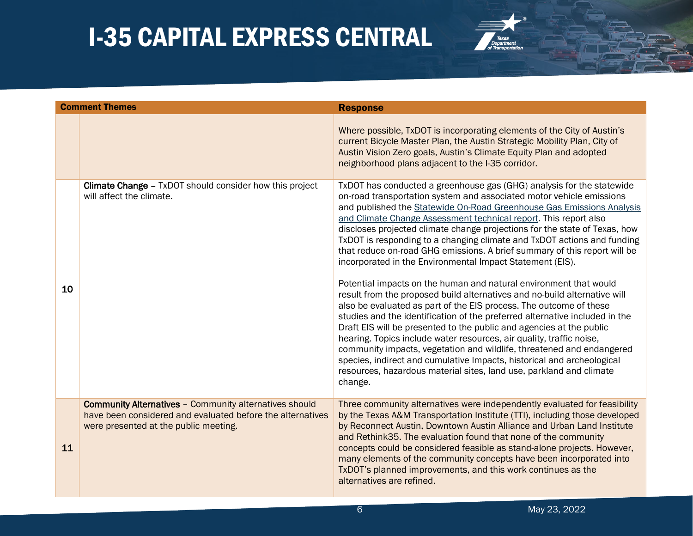

|    | <b>Comment Themes</b>                                                                                                                                                | <b>Response</b>                                                                                                                                                                                                                                                                                                                                                                                                                                                                                                                                                                                                                                                                                                                                                                                                                                                                                                                                                                                                                                                                                                                                                                                                                                                                           |
|----|----------------------------------------------------------------------------------------------------------------------------------------------------------------------|-------------------------------------------------------------------------------------------------------------------------------------------------------------------------------------------------------------------------------------------------------------------------------------------------------------------------------------------------------------------------------------------------------------------------------------------------------------------------------------------------------------------------------------------------------------------------------------------------------------------------------------------------------------------------------------------------------------------------------------------------------------------------------------------------------------------------------------------------------------------------------------------------------------------------------------------------------------------------------------------------------------------------------------------------------------------------------------------------------------------------------------------------------------------------------------------------------------------------------------------------------------------------------------------|
|    |                                                                                                                                                                      | Where possible, TxDOT is incorporating elements of the City of Austin's<br>current Bicycle Master Plan, the Austin Strategic Mobility Plan, City of<br>Austin Vision Zero goals, Austin's Climate Equity Plan and adopted<br>neighborhood plans adjacent to the I-35 corridor.                                                                                                                                                                                                                                                                                                                                                                                                                                                                                                                                                                                                                                                                                                                                                                                                                                                                                                                                                                                                            |
| 10 | <b>Climate Change - TxDOT should consider how this project</b><br>will affect the climate.                                                                           | TxDOT has conducted a greenhouse gas (GHG) analysis for the statewide<br>on-road transportation system and associated motor vehicle emissions<br>and published the Statewide On-Road Greenhouse Gas Emissions Analysis<br>and Climate Change Assessment technical report. This report also<br>discloses projected climate change projections for the state of Texas, how<br>TxDOT is responding to a changing climate and TxDOT actions and funding<br>that reduce on-road GHG emissions. A brief summary of this report will be<br>incorporated in the Environmental Impact Statement (EIS).<br>Potential impacts on the human and natural environment that would<br>result from the proposed build alternatives and no-build alternative will<br>also be evaluated as part of the EIS process. The outcome of these<br>studies and the identification of the preferred alternative included in the<br>Draft EIS will be presented to the public and agencies at the public<br>hearing. Topics include water resources, air quality, traffic noise,<br>community impacts, vegetation and wildlife, threatened and endangered<br>species, indirect and cumulative Impacts, historical and archeological<br>resources, hazardous material sites, land use, parkland and climate<br>change. |
| 11 | <b>Community Alternatives - Community alternatives should</b><br>have been considered and evaluated before the alternatives<br>were presented at the public meeting. | Three community alternatives were independently evaluated for feasibility<br>by the Texas A&M Transportation Institute (TTI), including those developed<br>by Reconnect Austin, Downtown Austin Alliance and Urban Land Institute<br>and Rethink35. The evaluation found that none of the community<br>concepts could be considered feasible as stand-alone projects. However,<br>many elements of the community concepts have been incorporated into<br>TxDOT's planned improvements, and this work continues as the<br>alternatives are refined.                                                                                                                                                                                                                                                                                                                                                                                                                                                                                                                                                                                                                                                                                                                                        |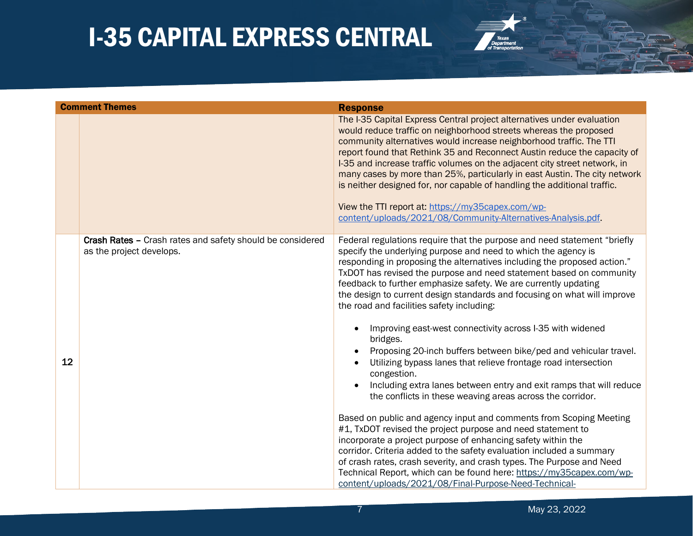

|    | <b>Comment Themes</b>                                                                 | <b>Response</b>                                                                                                                                                                                                                                                                                                                                                                                                                                                                                                                                                                                                                                                                                                                                                                                                                                                                                                                                                                                  |
|----|---------------------------------------------------------------------------------------|--------------------------------------------------------------------------------------------------------------------------------------------------------------------------------------------------------------------------------------------------------------------------------------------------------------------------------------------------------------------------------------------------------------------------------------------------------------------------------------------------------------------------------------------------------------------------------------------------------------------------------------------------------------------------------------------------------------------------------------------------------------------------------------------------------------------------------------------------------------------------------------------------------------------------------------------------------------------------------------------------|
|    |                                                                                       | The I-35 Capital Express Central project alternatives under evaluation<br>would reduce traffic on neighborhood streets whereas the proposed<br>community alternatives would increase neighborhood traffic. The TTI<br>report found that Rethink 35 and Reconnect Austin reduce the capacity of<br>I-35 and increase traffic volumes on the adjacent city street network, in<br>many cases by more than 25%, particularly in east Austin. The city network<br>is neither designed for, nor capable of handling the additional traffic.<br>View the TTI report at: https://my35capex.com/wp-<br>content/uploads/2021/08/Community-Alternatives-Analysis.pdf.                                                                                                                                                                                                                                                                                                                                       |
| 12 | Crash Rates - Crash rates and safety should be considered<br>as the project develops. | Federal regulations require that the purpose and need statement "briefly<br>specify the underlying purpose and need to which the agency is<br>responding in proposing the alternatives including the proposed action."<br>TxDOT has revised the purpose and need statement based on community<br>feedback to further emphasize safety. We are currently updating<br>the design to current design standards and focusing on what will improve<br>the road and facilities safety including:<br>Improving east-west connectivity across I-35 with widened<br>bridges.<br>Proposing 20-inch buffers between bike/ped and vehicular travel.<br>Utilizing bypass lanes that relieve frontage road intersection<br>congestion.<br>Including extra lanes between entry and exit ramps that will reduce<br>the conflicts in these weaving areas across the corridor.<br>Based on public and agency input and comments from Scoping Meeting<br>#1, TxDOT revised the project purpose and need statement to |
|    |                                                                                       | incorporate a project purpose of enhancing safety within the<br>corridor. Criteria added to the safety evaluation included a summary<br>of crash rates, crash severity, and crash types. The Purpose and Need<br>Technical Report, which can be found here: https://my35capex.com/wp-<br>content/uploads/2021/08/Final-Purpose-Need-Technical-                                                                                                                                                                                                                                                                                                                                                                                                                                                                                                                                                                                                                                                   |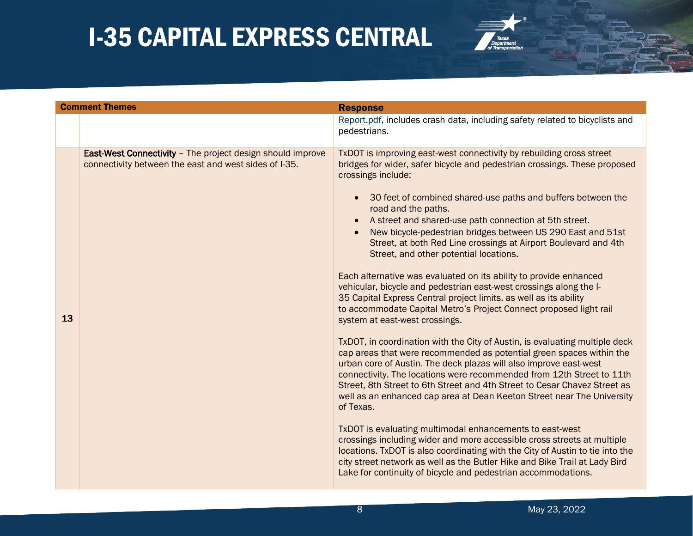

|    | <b>Comment Themes</b>                                                                                                      | <b>Response</b>                                                                                                                                                                                                                                                                                                                                                                                                                                                                                                                                                                                                                                                                                                                                                                                                                                                                                                                                                                                                                                                                                                                                                                                                                                                                                                                                                                                                                                                                                                                                                                                                                                                                                        |
|----|----------------------------------------------------------------------------------------------------------------------------|--------------------------------------------------------------------------------------------------------------------------------------------------------------------------------------------------------------------------------------------------------------------------------------------------------------------------------------------------------------------------------------------------------------------------------------------------------------------------------------------------------------------------------------------------------------------------------------------------------------------------------------------------------------------------------------------------------------------------------------------------------------------------------------------------------------------------------------------------------------------------------------------------------------------------------------------------------------------------------------------------------------------------------------------------------------------------------------------------------------------------------------------------------------------------------------------------------------------------------------------------------------------------------------------------------------------------------------------------------------------------------------------------------------------------------------------------------------------------------------------------------------------------------------------------------------------------------------------------------------------------------------------------------------------------------------------------------|
|    |                                                                                                                            | Report.pdf, includes crash data, including safety related to bicyclists and<br>pedestrians.                                                                                                                                                                                                                                                                                                                                                                                                                                                                                                                                                                                                                                                                                                                                                                                                                                                                                                                                                                                                                                                                                                                                                                                                                                                                                                                                                                                                                                                                                                                                                                                                            |
| 13 | <b>East-West Connectivity - The project design should improve</b><br>connectivity between the east and west sides of I-35. | TxDOT is improving east-west connectivity by rebuilding cross street<br>bridges for wider, safer bicycle and pedestrian crossings. These proposed<br>crossings include:<br>30 feet of combined shared-use paths and buffers between the<br>$\bullet$<br>road and the paths.<br>A street and shared-use path connection at 5th street.<br>$\bullet$<br>New bicycle-pedestrian bridges between US 290 East and 51st<br>Street, at both Red Line crossings at Airport Boulevard and 4th<br>Street, and other potential locations.<br>Each alternative was evaluated on its ability to provide enhanced<br>vehicular, bicycle and pedestrian east-west crossings along the I-<br>35 Capital Express Central project limits, as well as its ability<br>to accommodate Capital Metro's Project Connect proposed light rail<br>system at east-west crossings.<br>TxDOT, in coordination with the City of Austin, is evaluating multiple deck<br>cap areas that were recommended as potential green spaces within the<br>urban core of Austin. The deck plazas will also improve east-west<br>connectivity. The locations were recommended from 12th Street to 11th<br>Street, 8th Street to 6th Street and 4th Street to Cesar Chavez Street as<br>well as an enhanced cap area at Dean Keeton Street near The University<br>of Texas.<br>TxDOT is evaluating multimodal enhancements to east-west<br>crossings including wider and more accessible cross streets at multiple<br>locations. TxDOT is also coordinating with the City of Austin to tie into the<br>city street network as well as the Butler Hike and Bike Trail at Lady Bird<br>Lake for continuity of bicycle and pedestrian accommodations. |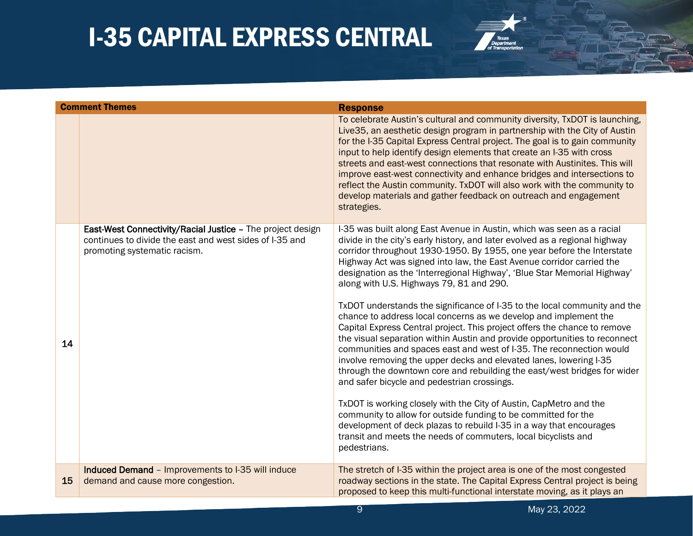

|    | <b>Comment Themes</b>                                                                                                                                 | <b>Response</b>                                                                                                                                                                                                                                                                                                                                                                                                                                                                                                                                                                                                                                                                                                                                                                                                                                                                                                                                                                                                                                                                                                                                                                                                                                                                                                        |
|----|-------------------------------------------------------------------------------------------------------------------------------------------------------|------------------------------------------------------------------------------------------------------------------------------------------------------------------------------------------------------------------------------------------------------------------------------------------------------------------------------------------------------------------------------------------------------------------------------------------------------------------------------------------------------------------------------------------------------------------------------------------------------------------------------------------------------------------------------------------------------------------------------------------------------------------------------------------------------------------------------------------------------------------------------------------------------------------------------------------------------------------------------------------------------------------------------------------------------------------------------------------------------------------------------------------------------------------------------------------------------------------------------------------------------------------------------------------------------------------------|
|    |                                                                                                                                                       | To celebrate Austin's cultural and community diversity, TxDOT is launching,<br>Live 35, an aesthetic design program in partnership with the City of Austin<br>for the I-35 Capital Express Central project. The goal is to gain community<br>input to help identify design elements that create an I-35 with cross<br>streets and east-west connections that resonate with Austinites. This will<br>improve east-west connectivity and enhance bridges and intersections to<br>reflect the Austin community. TxDOT will also work with the community to<br>develop materials and gather feedback on outreach and engagement<br>strategies.                                                                                                                                                                                                                                                                                                                                                                                                                                                                                                                                                                                                                                                                             |
| 14 | East-West Connectivity/Racial Justice - The project design<br>continues to divide the east and west sides of I-35 and<br>promoting systematic racism. | I-35 was built along East Avenue in Austin, which was seen as a racial<br>divide in the city's early history, and later evolved as a regional highway<br>corridor throughout 1930-1950. By 1955, one year before the Interstate<br>Highway Act was signed into law, the East Avenue corridor carried the<br>designation as the 'Interregional Highway', 'Blue Star Memorial Highway'<br>along with U.S. Highways 79, 81 and 290.<br>TxDOT understands the significance of I-35 to the local community and the<br>chance to address local concerns as we develop and implement the<br>Capital Express Central project. This project offers the chance to remove<br>the visual separation within Austin and provide opportunities to reconnect<br>communities and spaces east and west of I-35. The reconnection would<br>involve removing the upper decks and elevated lanes, lowering I-35<br>through the downtown core and rebuilding the east/west bridges for wider<br>and safer bicycle and pedestrian crossings.<br>TxDOT is working closely with the City of Austin, CapMetro and the<br>community to allow for outside funding to be committed for the<br>development of deck plazas to rebuild I-35 in a way that encourages<br>transit and meets the needs of commuters, local bicyclists and<br>pedestrians. |
| 15 | Induced Demand - Improvements to I-35 will induce<br>demand and cause more congestion.                                                                | The stretch of I-35 within the project area is one of the most congested<br>roadway sections in the state. The Capital Express Central project is being<br>proposed to keep this multi-functional interstate moving, as it plays an                                                                                                                                                                                                                                                                                                                                                                                                                                                                                                                                                                                                                                                                                                                                                                                                                                                                                                                                                                                                                                                                                    |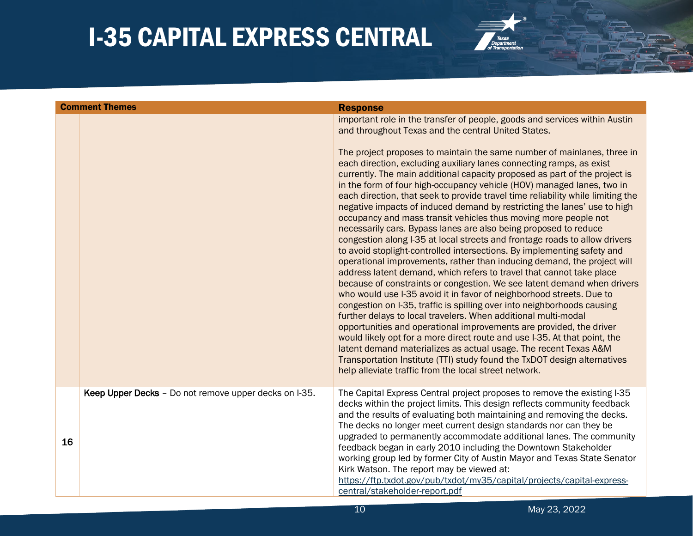

|    | <b>Comment Themes</b>                                 | <b>Response</b>                                                                                                                                                                                                                                                                                                                                                                                                                                                                                                                                                                                                                                                                                                                                                                                                                                                                                                                                                                                                                                                                                                                                                                                                                                                                                                                                                                                                                                                                                                                                                                                                                                                                                                             |
|----|-------------------------------------------------------|-----------------------------------------------------------------------------------------------------------------------------------------------------------------------------------------------------------------------------------------------------------------------------------------------------------------------------------------------------------------------------------------------------------------------------------------------------------------------------------------------------------------------------------------------------------------------------------------------------------------------------------------------------------------------------------------------------------------------------------------------------------------------------------------------------------------------------------------------------------------------------------------------------------------------------------------------------------------------------------------------------------------------------------------------------------------------------------------------------------------------------------------------------------------------------------------------------------------------------------------------------------------------------------------------------------------------------------------------------------------------------------------------------------------------------------------------------------------------------------------------------------------------------------------------------------------------------------------------------------------------------------------------------------------------------------------------------------------------------|
|    |                                                       | important role in the transfer of people, goods and services within Austin<br>and throughout Texas and the central United States.<br>The project proposes to maintain the same number of mainlanes, three in<br>each direction, excluding auxiliary lanes connecting ramps, as exist<br>currently. The main additional capacity proposed as part of the project is<br>in the form of four high-occupancy vehicle (HOV) managed lanes, two in<br>each direction, that seek to provide travel time reliability while limiting the<br>negative impacts of induced demand by restricting the lanes' use to high<br>occupancy and mass transit vehicles thus moving more people not<br>necessarily cars. Bypass lanes are also being proposed to reduce<br>congestion along I-35 at local streets and frontage roads to allow drivers<br>to avoid stoplight-controlled intersections. By implementing safety and<br>operational improvements, rather than inducing demand, the project will<br>address latent demand, which refers to travel that cannot take place<br>because of constraints or congestion. We see latent demand when drivers<br>who would use I-35 avoid it in favor of neighborhood streets. Due to<br>congestion on I-35, traffic is spilling over into neighborhoods causing<br>further delays to local travelers. When additional multi-modal<br>opportunities and operational improvements are provided, the driver<br>would likely opt for a more direct route and use I-35. At that point, the<br>latent demand materializes as actual usage. The recent Texas A&M<br>Transportation Institute (TTI) study found the TxDOT design alternatives<br>help alleviate traffic from the local street network. |
|    | Keep Upper Decks - Do not remove upper decks on I-35. | The Capital Express Central project proposes to remove the existing I-35<br>decks within the project limits. This design reflects community feedback<br>and the results of evaluating both maintaining and removing the decks.                                                                                                                                                                                                                                                                                                                                                                                                                                                                                                                                                                                                                                                                                                                                                                                                                                                                                                                                                                                                                                                                                                                                                                                                                                                                                                                                                                                                                                                                                              |
| 16 |                                                       | The decks no longer meet current design standards nor can they be<br>upgraded to permanently accommodate additional lanes. The community<br>feedback began in early 2010 including the Downtown Stakeholder<br>working group led by former City of Austin Mayor and Texas State Senator<br>Kirk Watson. The report may be viewed at:<br>https://ftp.txdot.gov/pub/txdot/my35/capital/projects/capital-express-<br>central/stakeholder-report.pdf                                                                                                                                                                                                                                                                                                                                                                                                                                                                                                                                                                                                                                                                                                                                                                                                                                                                                                                                                                                                                                                                                                                                                                                                                                                                            |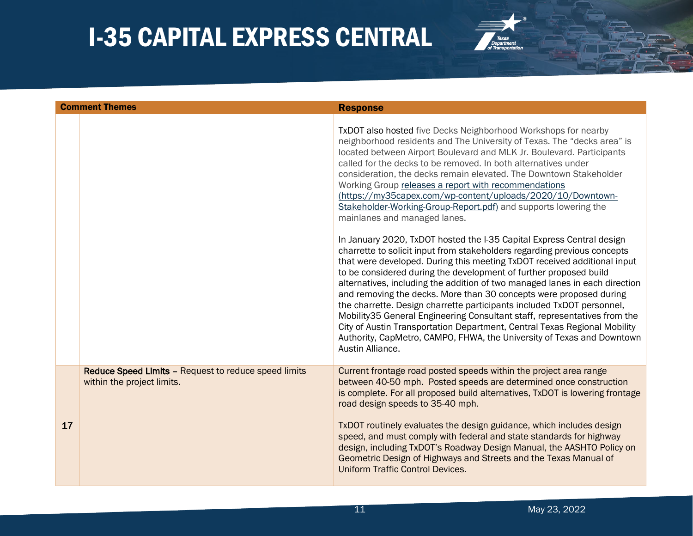

|    | <b>Comment Themes</b>                                                              | <b>Response</b>                                                                                                                                                                                                                                                                                                                                                                                                                                                                                                                                                                                                                                                                                                                                                                                                                                                                                                                                                                                                                                                                                                                                                                                                                                                                                                                                                                    |
|----|------------------------------------------------------------------------------------|------------------------------------------------------------------------------------------------------------------------------------------------------------------------------------------------------------------------------------------------------------------------------------------------------------------------------------------------------------------------------------------------------------------------------------------------------------------------------------------------------------------------------------------------------------------------------------------------------------------------------------------------------------------------------------------------------------------------------------------------------------------------------------------------------------------------------------------------------------------------------------------------------------------------------------------------------------------------------------------------------------------------------------------------------------------------------------------------------------------------------------------------------------------------------------------------------------------------------------------------------------------------------------------------------------------------------------------------------------------------------------|
|    |                                                                                    | TxDOT also hosted five Decks Neighborhood Workshops for nearby<br>neighborhood residents and The University of Texas. The "decks area" is<br>located between Airport Boulevard and MLK Jr. Boulevard. Participants<br>called for the decks to be removed. In both alternatives under<br>consideration, the decks remain elevated. The Downtown Stakeholder<br>Working Group releases a report with recommendations<br>(https://my35capex.com/wp-content/uploads/2020/10/Downtown-<br>Stakeholder-Working-Group-Report.pdf) and supports lowering the<br>mainlanes and managed lanes.<br>In January 2020, TxDOT hosted the I-35 Capital Express Central design<br>charrette to solicit input from stakeholders regarding previous concepts<br>that were developed. During this meeting TxDOT received additional input<br>to be considered during the development of further proposed build<br>alternatives, including the addition of two managed lanes in each direction<br>and removing the decks. More than 30 concepts were proposed during<br>the charrette. Design charrette participants included TxDOT personnel,<br>Mobility 35 General Engineering Consultant staff, representatives from the<br>City of Austin Transportation Department, Central Texas Regional Mobility<br>Authority, CapMetro, CAMPO, FHWA, the University of Texas and Downtown<br>Austin Alliance. |
| 17 | Reduce Speed Limits - Request to reduce speed limits<br>within the project limits. | Current frontage road posted speeds within the project area range<br>between 40-50 mph. Posted speeds are determined once construction<br>is complete. For all proposed build alternatives, TxDOT is lowering frontage<br>road design speeds to 35-40 mph.<br>TxDOT routinely evaluates the design guidance, which includes design<br>speed, and must comply with federal and state standards for highway<br>design, including TxDOT's Roadway Design Manual, the AASHTO Policy on<br>Geometric Design of Highways and Streets and the Texas Manual of<br><b>Uniform Traffic Control Devices.</b>                                                                                                                                                                                                                                                                                                                                                                                                                                                                                                                                                                                                                                                                                                                                                                                  |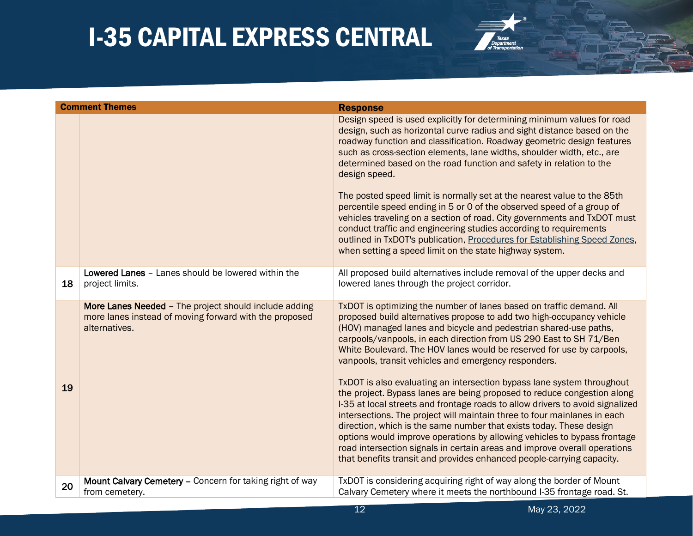

|    | <b>Comment Themes</b>                                                                                                            | <b>Response</b>                                                                                                                                                                                                                                                                                                                                                                                                                                                                                                                                                                                                                                                                                                                                                                                                                                                                                                                                                                                                                                     |
|----|----------------------------------------------------------------------------------------------------------------------------------|-----------------------------------------------------------------------------------------------------------------------------------------------------------------------------------------------------------------------------------------------------------------------------------------------------------------------------------------------------------------------------------------------------------------------------------------------------------------------------------------------------------------------------------------------------------------------------------------------------------------------------------------------------------------------------------------------------------------------------------------------------------------------------------------------------------------------------------------------------------------------------------------------------------------------------------------------------------------------------------------------------------------------------------------------------|
|    |                                                                                                                                  | Design speed is used explicitly for determining minimum values for road<br>design, such as horizontal curve radius and sight distance based on the<br>roadway function and classification. Roadway geometric design features<br>such as cross-section elements, lane widths, shoulder width, etc., are<br>determined based on the road function and safety in relation to the<br>design speed.<br>The posted speed limit is normally set at the nearest value to the 85th<br>percentile speed ending in 5 or 0 of the observed speed of a group of<br>vehicles traveling on a section of road. City governments and TxDOT must<br>conduct traffic and engineering studies according to requirements<br>outlined in TxDOT's publication, Procedures for Establishing Speed Zones,<br>when setting a speed limit on the state highway system.                                                                                                                                                                                                         |
| 18 | Lowered Lanes - Lanes should be lowered within the<br>project limits.                                                            | All proposed build alternatives include removal of the upper decks and<br>lowered lanes through the project corridor.                                                                                                                                                                                                                                                                                                                                                                                                                                                                                                                                                                                                                                                                                                                                                                                                                                                                                                                               |
| 19 | More Lanes Needed - The project should include adding<br>more lanes instead of moving forward with the proposed<br>alternatives. | TxDOT is optimizing the number of lanes based on traffic demand. All<br>proposed build alternatives propose to add two high-occupancy vehicle<br>(HOV) managed lanes and bicycle and pedestrian shared-use paths,<br>carpools/vanpools, in each direction from US 290 East to SH 71/Ben<br>White Boulevard. The HOV lanes would be reserved for use by carpools,<br>vanpools, transit vehicles and emergency responders.<br>TxDOT is also evaluating an intersection bypass lane system throughout<br>the project. Bypass lanes are being proposed to reduce congestion along<br>I-35 at local streets and frontage roads to allow drivers to avoid signalized<br>intersections. The project will maintain three to four mainlanes in each<br>direction, which is the same number that exists today. These design<br>options would improve operations by allowing vehicles to bypass frontage<br>road intersection signals in certain areas and improve overall operations<br>that benefits transit and provides enhanced people-carrying capacity. |
| 20 | Mount Calvary Cemetery - Concern for taking right of way<br>from cemetery.                                                       | TxDOT is considering acquiring right of way along the border of Mount<br>Calvary Cemetery where it meets the northbound I-35 frontage road. St.                                                                                                                                                                                                                                                                                                                                                                                                                                                                                                                                                                                                                                                                                                                                                                                                                                                                                                     |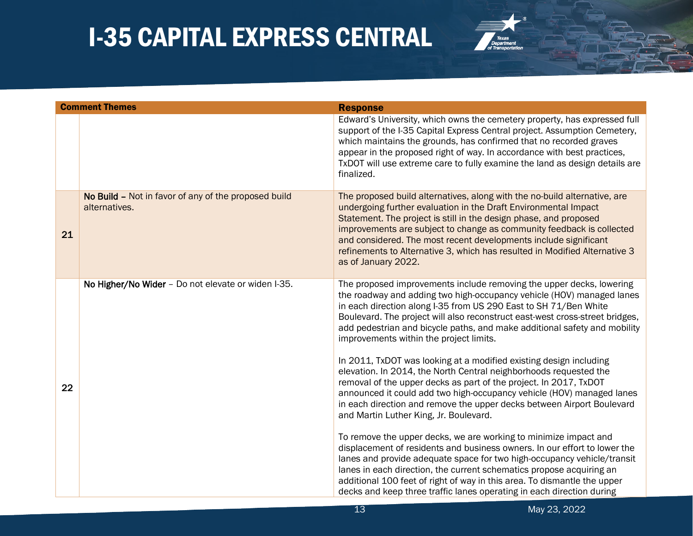

| <b>Comment Themes</b> |                                                                       | <b>Response</b>                                                                                                                                                                                                                                                                                                                                                                                                                                                     |
|-----------------------|-----------------------------------------------------------------------|---------------------------------------------------------------------------------------------------------------------------------------------------------------------------------------------------------------------------------------------------------------------------------------------------------------------------------------------------------------------------------------------------------------------------------------------------------------------|
|                       |                                                                       | Edward's University, which owns the cemetery property, has expressed full<br>support of the I-35 Capital Express Central project. Assumption Cemetery,<br>which maintains the grounds, has confirmed that no recorded graves<br>appear in the proposed right of way. In accordance with best practices,<br>TxDOT will use extreme care to fully examine the land as design details are<br>finalized.                                                                |
| 21                    | No Build - Not in favor of any of the proposed build<br>alternatives. | The proposed build alternatives, along with the no-build alternative, are<br>undergoing further evaluation in the Draft Environmental Impact<br>Statement. The project is still in the design phase, and proposed<br>improvements are subject to change as community feedback is collected<br>and considered. The most recent developments include significant<br>refinements to Alternative 3, which has resulted in Modified Alternative 3<br>as of January 2022. |
|                       | No Higher/No Wider - Do not elevate or widen I-35.                    | The proposed improvements include removing the upper decks, lowering<br>the roadway and adding two high-occupancy vehicle (HOV) managed lanes<br>in each direction along I-35 from US 290 East to SH 71/Ben White<br>Boulevard. The project will also reconstruct east-west cross-street bridges,<br>add pedestrian and bicycle paths, and make additional safety and mobility<br>improvements within the project limits.                                           |
| 22                    |                                                                       | In 2011, TxDOT was looking at a modified existing design including<br>elevation. In 2014, the North Central neighborhoods requested the<br>removal of the upper decks as part of the project. In 2017, TxDOT<br>announced it could add two high-occupancy vehicle (HOV) managed lanes<br>in each direction and remove the upper decks between Airport Boulevard<br>and Martin Luther King, Jr. Boulevard.                                                           |
|                       |                                                                       | To remove the upper decks, we are working to minimize impact and<br>displacement of residents and business owners. In our effort to lower the<br>lanes and provide adequate space for two high-occupancy vehicle/transit<br>lanes in each direction, the current schematics propose acquiring an<br>additional 100 feet of right of way in this area. To dismantle the upper<br>decks and keep three traffic lanes operating in each direction during               |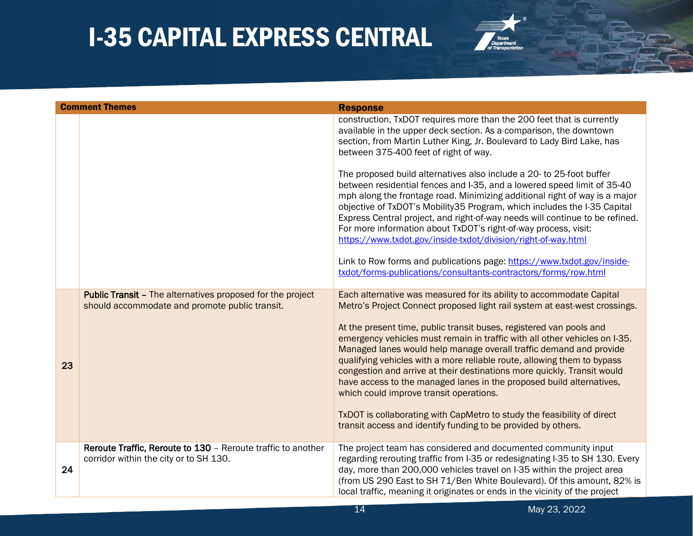

| <b>Comment Themes</b> |                                                                                                                     | <b>Response</b>                                                                                                                                                                                                                                                                                                                                                                                                                                                                                                                                                             |
|-----------------------|---------------------------------------------------------------------------------------------------------------------|-----------------------------------------------------------------------------------------------------------------------------------------------------------------------------------------------------------------------------------------------------------------------------------------------------------------------------------------------------------------------------------------------------------------------------------------------------------------------------------------------------------------------------------------------------------------------------|
|                       |                                                                                                                     | construction, TxDOT requires more than the 200 feet that is currently<br>available in the upper deck section. As a comparison, the downtown<br>section, from Martin Luther King, Jr. Boulevard to Lady Bird Lake, has<br>between 375-400 feet of right of way.                                                                                                                                                                                                                                                                                                              |
|                       |                                                                                                                     | The proposed build alternatives also include a 20- to 25-foot buffer<br>between residential fences and I-35, and a lowered speed limit of 35-40<br>mph along the frontage road. Minimizing additional right of way is a major<br>objective of TxDOT's Mobility35 Program, which includes the I-35 Capital<br>Express Central project, and right-of-way needs will continue to be refined.<br>For more information about TxDOT's right-of-way process, visit:<br>https://www.txdot.gov/inside-txdot/division/right-of-way.html                                               |
|                       |                                                                                                                     | Link to Row forms and publications page: https://www.txdot.gov/inside-<br>txdot/forms-publications/consultants-contractors/forms/row.html                                                                                                                                                                                                                                                                                                                                                                                                                                   |
|                       | <b>Public Transit - The alternatives proposed for the project</b><br>should accommodate and promote public transit. | Each alternative was measured for its ability to accommodate Capital<br>Metro's Project Connect proposed light rail system at east-west crossings.                                                                                                                                                                                                                                                                                                                                                                                                                          |
| 23                    |                                                                                                                     | At the present time, public transit buses, registered van pools and<br>emergency vehicles must remain in traffic with all other vehicles on I-35.<br>Managed lanes would help manage overall traffic demand and provide<br>qualifying vehicles with a more reliable route, allowing them to bypass<br>congestion and arrive at their destinations more quickly. Transit would<br>have access to the managed lanes in the proposed build alternatives,<br>which could improve transit operations.<br>TxDOT is collaborating with CapMetro to study the feasibility of direct |
|                       |                                                                                                                     | transit access and identify funding to be provided by others.                                                                                                                                                                                                                                                                                                                                                                                                                                                                                                               |
| 24                    | Reroute Traffic, Reroute to 130 - Reroute traffic to another<br>corridor within the city or to SH 130.              | The project team has considered and documented community input<br>regarding rerouting traffic from I-35 or redesignating I-35 to SH 130. Every<br>day, more than 200,000 vehicles travel on I-35 within the project area<br>(from US 290 East to SH 71/Ben White Boulevard). Of this amount, 82% is<br>local traffic, meaning it originates or ends in the vicinity of the project                                                                                                                                                                                          |